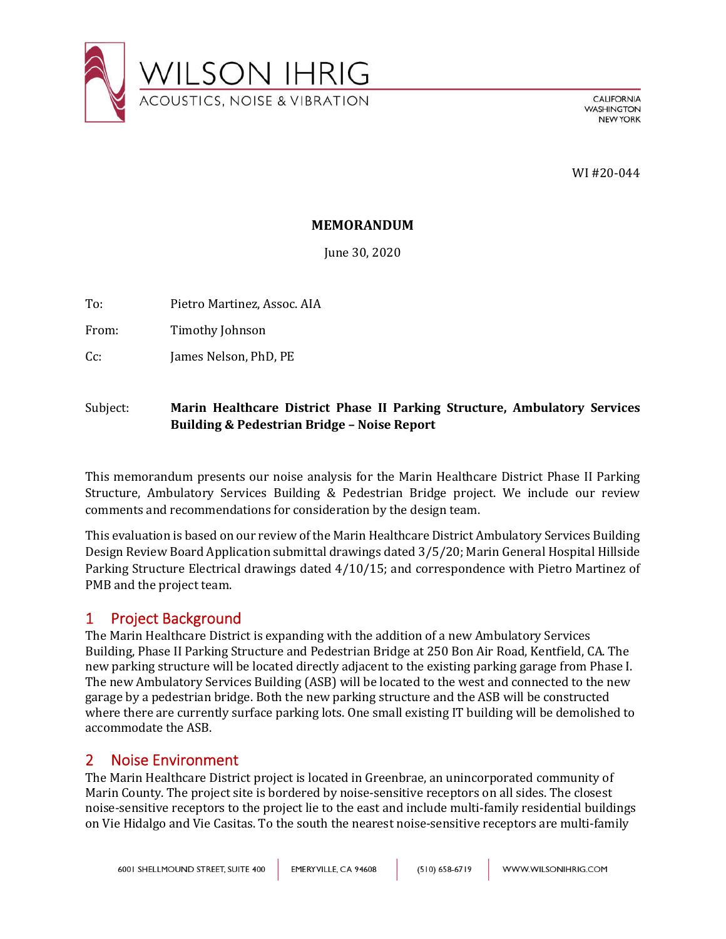

**CALIFORNIA WASHINGTON NEW YORK** 

WI #20-044

#### **MEMORANDUM**

June 30, 2020

To: Pietro Martinez, Assoc. AIA

From: Timothy Johnson

Cc: James Nelson, PhD, PE

### Subject: **Marin Healthcare District Phase II Parking Structure, Ambulatory Services Building & Pedestrian Bridge – Noise Report**

This memorandum presents our noise analysis for the Marin Healthcare District Phase II Parking Structure, Ambulatory Services Building & Pedestrian Bridge project. We include our review comments and recommendations for consideration by the design team.

This evaluation is based on our review of the Marin Healthcare District Ambulatory Services Building Design Review Board Application submittal drawings dated 3/5/20; Marin General Hospital Hillside Parking Structure Electrical drawings dated 4/10/15; and correspondence with Pietro Martinez of PMB and the project team.

## 1 Project Background

The Marin Healthcare District is expanding with the addition of a new Ambulatory Services Building, Phase II Parking Structure and Pedestrian Bridge at 250 Bon Air Road, Kentfield, CA. The new parking structure will be located directly adjacent to the existing parking garage from Phase I. The new Ambulatory Services Building (ASB) will be located to the west and connected to the new garage by a pedestrian bridge. Both the new parking structure and the ASB will be constructed where there are currently surface parking lots. One small existing IT building will be demolished to accommodate the ASB.

## 2 Noise Environment

The Marin Healthcare District project is located in Greenbrae, an unincorporated community of Marin County. The project site is bordered by noise-sensitive receptors on all sides. The closest noise-sensitive receptors to the project lie to the east and include multi-family residential buildings on Vie Hidalgo and Vie Casitas. To the south the nearest noise-sensitive receptors are multi-family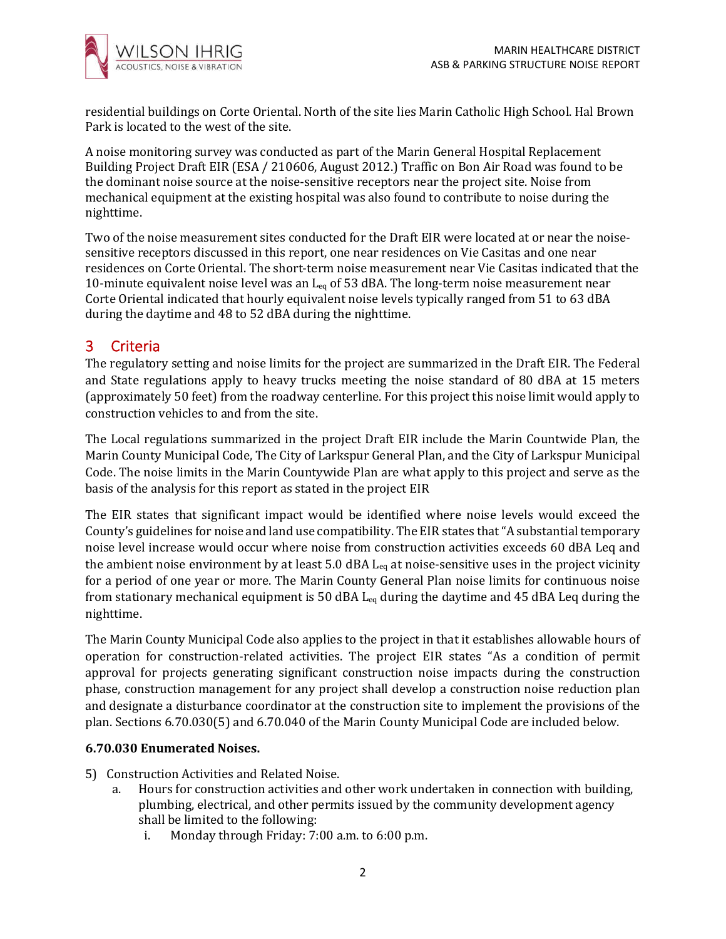

residential buildings on Corte Oriental. North of the site lies Marin Catholic High School. Hal Brown Park is located to the west of the site.

A noise monitoring survey was conducted as part of the Marin General Hospital Replacement Building Project Draft EIR (ESA / 210606, August 2012.) Traffic on Bon Air Road was found to be the dominant noise source at the noise-sensitive receptors near the project site. Noise from mechanical equipment at the existing hospital was also found to contribute to noise during the nighttime.

Two of the noise measurement sites conducted for the Draft EIR were located at or near the noisesensitive receptors discussed in this report, one near residences on Vie Casitas and one near residences on Corte Oriental. The short-term noise measurement near Vie Casitas indicated that the 10-minute equivalent noise level was an  $L_{eq}$  of 53 dBA. The long-term noise measurement near Corte Oriental indicated that hourly equivalent noise levels typically ranged from 51 to 63 dBA during the daytime and 48 to 52 dBA during the nighttime.

# 3 Criteria

The regulatory setting and noise limits for the project are summarized in the Draft EIR. The Federal and State regulations apply to heavy trucks meeting the noise standard of 80 dBA at 15 meters (approximately 50 feet) from the roadway centerline. For this project this noise limit would apply to construction vehicles to and from the site.

The Local regulations summarized in the project Draft EIR include the Marin Countwide Plan, the Marin County Municipal Code, The City of Larkspur General Plan, and the City of Larkspur Municipal Code. The noise limits in the Marin Countywide Plan are what apply to this project and serve as the basis of the analysis for this report as stated in the project EIR

The EIR states that significant impact would be identified where noise levels would exceed the County's guidelines for noise and land use compatibility. The EIR states that "A substantial temporary noise level increase would occur where noise from construction activities exceeds 60 dBA Leq and the ambient noise environment by at least 5.0 dBA  $L_{eq}$  at noise-sensitive uses in the project vicinity for a period of one year or more. The Marin County General Plan noise limits for continuous noise from stationary mechanical equipment is 50 dBA  $L_{eq}$  during the daytime and 45 dBA Leq during the nighttime.

The Marin County Municipal Code also applies to the project in that it establishes allowable hours of operation for construction-related activities. The project EIR states "As a condition of permit approval for projects generating significant construction noise impacts during the construction phase, construction management for any project shall develop a construction noise reduction plan and designate a disturbance coordinator at the construction site to implement the provisions of the plan. Sections 6.70.030(5) and 6.70.040 of the Marin County Municipal Code are included below.

#### **6.70.030 Enumerated Noises.**

- 5) Construction Activities and Related Noise.
	- a. Hours for construction activities and other work undertaken in connection with building, plumbing, electrical, and other permits issued by the community development agency shall be limited to the following:
		- i. Monday through Friday: 7:00 a.m. to 6:00 p.m.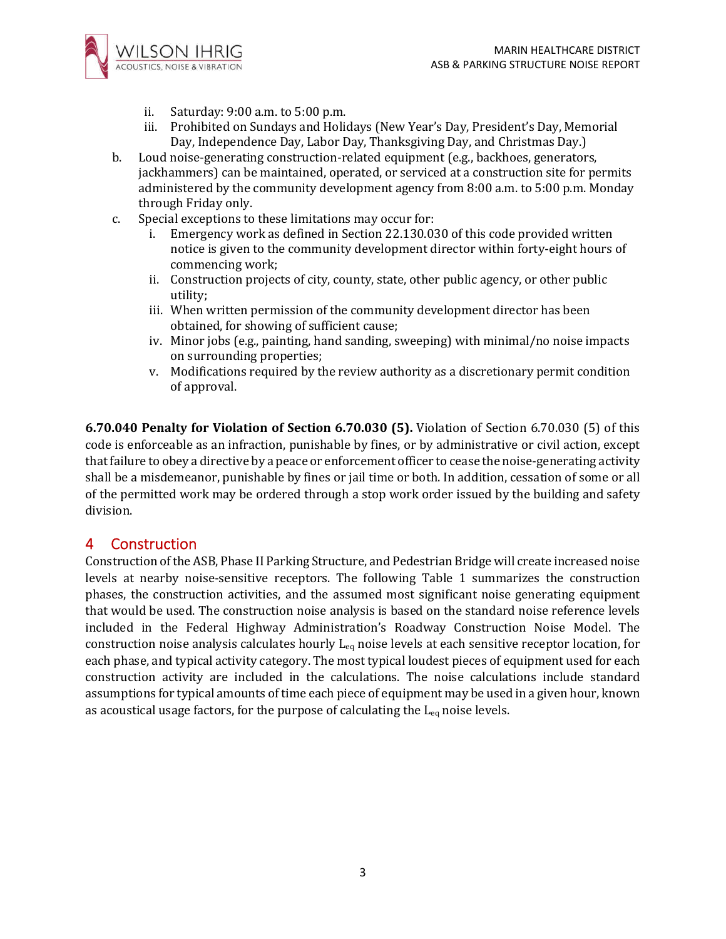

- ii. Saturday: 9:00 a.m. to 5:00 p.m.
- iii. Prohibited on Sundays and Holidays (New Year's Day, President's Day, Memorial Day, Independence Day, Labor Day, Thanksgiving Day, and Christmas Day.)
- b. Loud noise-generating construction-related equipment (e.g., backhoes, generators, jackhammers) can be maintained, operated, or serviced at a construction site for permits administered by the community development agency from 8:00 a.m. to 5:00 p.m. Monday through Friday only.
- c. Special exceptions to these limitations may occur for:
	- i. Emergency work as defined in Section 22.130.030 of this code provided written notice is given to the community development director within forty-eight hours of commencing work;
	- ii. Construction projects of city, county, state, other public agency, or other public utility;
	- iii. When written permission of the community development director has been obtained, for showing of sufficient cause;
	- iv. Minor jobs (e.g., painting, hand sanding, sweeping) with minimal/no noise impacts on surrounding properties;
	- v. Modifications required by the review authority as a discretionary permit condition of approval.

**6.70.040 Penalty for Violation of Section 6.70.030 (5).** Violation of Section 6.70.030 (5) of this code is enforceable as an infraction, punishable by fines, or by administrative or civil action, except that failure to obey a directive by a peace or enforcement officer to cease the noise-generating activity shall be a misdemeanor, punishable by fines or jail time or both. In addition, cessation of some or all of the permitted work may be ordered through a stop work order issued by the building and safety division.

## 4 Construction

Construction of the ASB, Phase II Parking Structure, and Pedestrian Bridge will create increased noise levels at nearby noise-sensitive receptors. The following Table 1 summarizes the construction phases, the construction activities, and the assumed most significant noise generating equipment that would be used. The construction noise analysis is based on the standard noise reference levels included in the Federal Highway Administration's Roadway Construction Noise Model. The construction noise analysis calculates hourly Leq noise levels at each sensitive receptor location, for each phase, and typical activity category. The most typical loudest pieces of equipment used for each construction activity are included in the calculations. The noise calculations include standard assumptions for typical amounts of time each piece of equipment may be used in a given hour, known as acoustical usage factors, for the purpose of calculating the  $L_{eq}$  noise levels.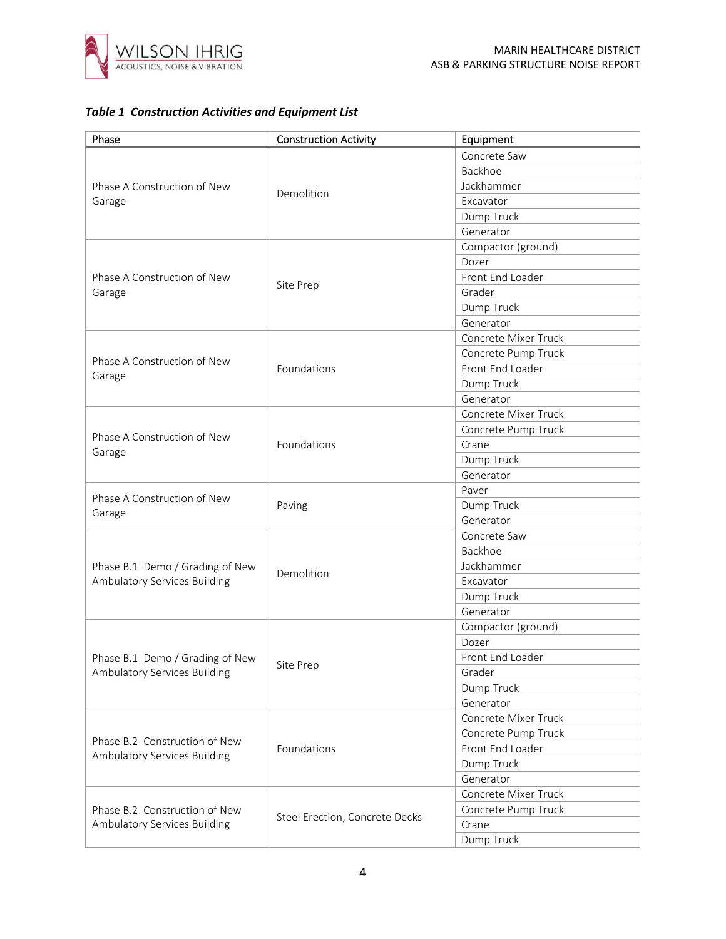

#### *Table 1 Construction Activities and Equipment List*

| Phase                                                         | <b>Construction Activity</b>   | Equipment            |
|---------------------------------------------------------------|--------------------------------|----------------------|
| Phase A Construction of New<br>Garage                         |                                | Concrete Saw         |
|                                                               |                                | Backhoe              |
|                                                               | Demolition                     | Jackhammer           |
|                                                               |                                | Excavator            |
|                                                               |                                | Dump Truck           |
|                                                               |                                | Generator            |
|                                                               |                                | Compactor (ground)   |
|                                                               |                                | Dozer                |
| Phase A Construction of New                                   |                                | Front End Loader     |
| Garage                                                        | Site Prep                      | Grader               |
|                                                               |                                | Dump Truck           |
|                                                               |                                | Generator            |
|                                                               |                                | Concrete Mixer Truck |
|                                                               |                                | Concrete Pump Truck  |
| Phase A Construction of New                                   | Foundations                    | Front End Loader     |
| Garage                                                        |                                | Dump Truck           |
|                                                               |                                | Generator            |
|                                                               |                                | Concrete Mixer Truck |
|                                                               |                                | Concrete Pump Truck  |
| Phase A Construction of New                                   | Foundations                    | Crane                |
| Garage                                                        |                                | Dump Truck           |
|                                                               |                                | Generator            |
|                                                               |                                | Paver                |
| Phase A Construction of New                                   | Paving                         | Dump Truck           |
| Garage                                                        |                                | Generator            |
|                                                               |                                | Concrete Saw         |
|                                                               |                                | Backhoe              |
| Phase B.1 Demo / Grading of New                               |                                | Jackhammer           |
| Ambulatory Services Building                                  | Demolition                     | Excavator            |
|                                                               |                                | Dump Truck           |
|                                                               |                                | Generator            |
|                                                               |                                | Compactor (ground)   |
|                                                               |                                | Dozer                |
| Phase B.1 Demo / Grading of New                               |                                | Front End Loader     |
| Ambulatory Services Building                                  | Site Prep                      | Grader               |
|                                                               |                                | Dump Truck           |
|                                                               |                                | Generator            |
| Phase B.2 Construction of New<br>Ambulatory Services Building |                                | Concrete Mixer Truck |
|                                                               |                                | Concrete Pump Truck  |
|                                                               | Foundations                    | Front End Loader     |
|                                                               |                                | Dump Truck           |
|                                                               |                                | Generator            |
|                                                               |                                | Concrete Mixer Truck |
| Phase B.2 Construction of New                                 |                                | Concrete Pump Truck  |
| Ambulatory Services Building                                  | Steel Erection, Concrete Decks | Crane                |
|                                                               |                                | Dump Truck           |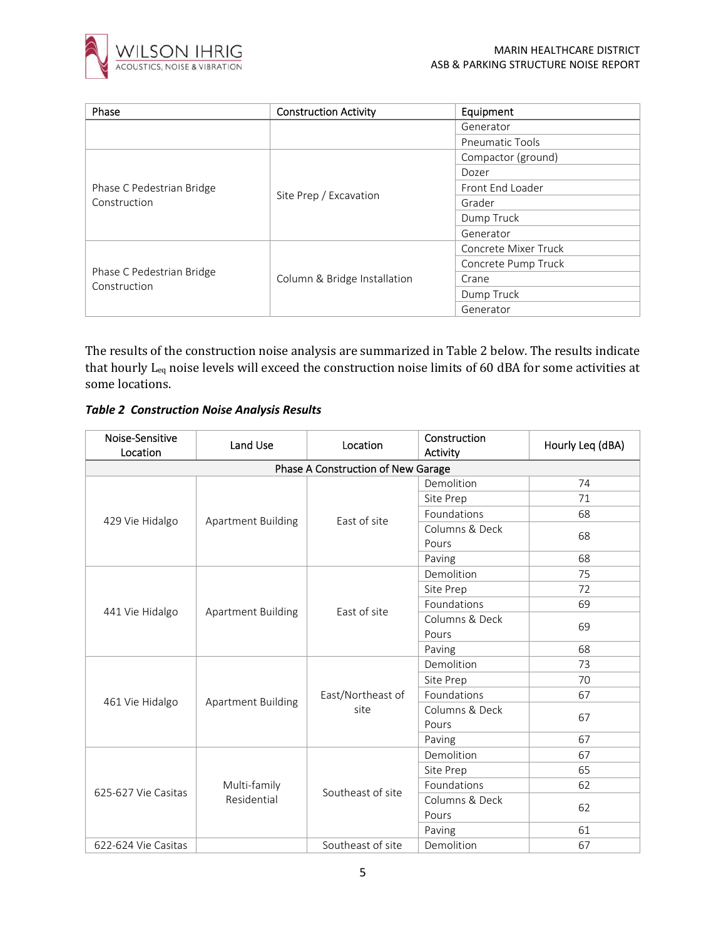

| Phase                                     | <b>Construction Activity</b> | Equipment              |  |
|-------------------------------------------|------------------------------|------------------------|--|
|                                           |                              | Generator              |  |
|                                           |                              | <b>Pneumatic Tools</b> |  |
|                                           |                              | Compactor (ground)     |  |
|                                           |                              | Dozer                  |  |
| Phase C Pedestrian Bridge<br>Construction | Site Prep / Excavation       | Front End Loader       |  |
|                                           |                              | Grader                 |  |
|                                           |                              | Dump Truck             |  |
|                                           |                              | Generator              |  |
| Phase C Pedestrian Bridge<br>Construction |                              | Concrete Mixer Truck   |  |
|                                           | Column & Bridge Installation | Concrete Pump Truck    |  |
|                                           |                              | Crane                  |  |
|                                           |                              | Dump Truck             |  |
|                                           |                              | Generator              |  |

The results of the construction noise analysis are summarized in Table 2 below. The results indicate that hourly Leq noise levels will exceed the construction noise limits of 60 dBA for some activities at some locations.

*Table 2 Construction Noise Analysis Results*

| Noise-Sensitive<br>Location | Land Use                    | Location                           | Construction<br>Activity | Hourly Leq (dBA) |
|-----------------------------|-----------------------------|------------------------------------|--------------------------|------------------|
|                             |                             | Phase A Construction of New Garage |                          |                  |
|                             |                             |                                    | Demolition               | 74               |
|                             |                             |                                    | Site Prep                | 71               |
| 429 Vie Hidalgo             | Apartment Building          | East of site                       | Foundations              | 68               |
|                             |                             |                                    | Columns & Deck<br>Pours  | 68               |
|                             |                             |                                    | Paving                   | 68               |
|                             |                             |                                    | Demolition               | 75               |
|                             |                             |                                    | Site Prep                | 72               |
| 441 Vie Hidalgo             | <b>Apartment Building</b>   | East of site                       | Foundations              | 69               |
|                             |                             |                                    | Columns & Deck           | 69               |
|                             |                             |                                    | Pours                    |                  |
|                             |                             |                                    | Paving                   | 68               |
|                             |                             |                                    | Demolition               | 73               |
|                             |                             |                                    | Site Prep                | 70               |
| 461 Vie Hidalgo             | <b>Apartment Building</b>   | East/Northeast of<br>site          | Foundations              | 67               |
|                             |                             |                                    | Columns & Deck           | 67               |
|                             |                             |                                    | Pours                    |                  |
|                             |                             |                                    | Paving                   | 67               |
| 625-627 Vie Casitas         | Multi-family<br>Residential | Southeast of site                  | Demolition               | 67               |
|                             |                             |                                    | Site Prep                | 65               |
|                             |                             |                                    | Foundations              | 62               |
|                             |                             |                                    | Columns & Deck           | 62               |
|                             |                             |                                    | Pours                    |                  |
|                             |                             |                                    | Paving                   | 61               |
| 622-624 Vie Casitas         |                             | Southeast of site                  | Demolition               | 67               |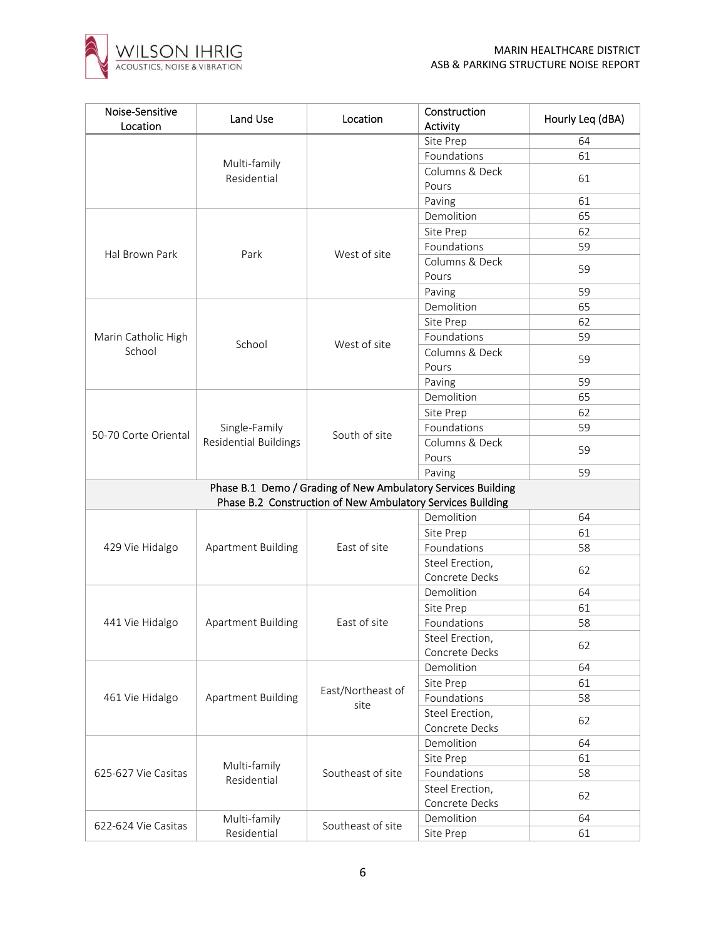

| Noise-Sensitive<br>Location | Land Use              | Location                                                                                                                   | Construction<br>Activity | Hourly Leq (dBA) |
|-----------------------------|-----------------------|----------------------------------------------------------------------------------------------------------------------------|--------------------------|------------------|
|                             |                       |                                                                                                                            | Site Prep                | 64               |
|                             |                       |                                                                                                                            | Foundations              | 61               |
|                             | Multi-family          |                                                                                                                            | Columns & Deck           |                  |
|                             | Residential           |                                                                                                                            | Pours                    | 61               |
|                             |                       |                                                                                                                            | Paving                   | 61               |
|                             |                       |                                                                                                                            | Demolition               | 65               |
|                             |                       | West of site                                                                                                               | Site Prep                | 62               |
|                             |                       |                                                                                                                            | Foundations              | 59               |
| Hal Brown Park              | Park                  |                                                                                                                            | Columns & Deck           |                  |
|                             |                       |                                                                                                                            | Pours                    | 59               |
|                             |                       |                                                                                                                            | Paving                   | 59               |
|                             |                       |                                                                                                                            | Demolition               | 65               |
|                             |                       |                                                                                                                            | Site Prep                | 62               |
| Marin Catholic High         |                       |                                                                                                                            | Foundations              | 59               |
| School                      | School                | West of site                                                                                                               | Columns & Deck           |                  |
|                             |                       |                                                                                                                            | Pours                    | 59               |
|                             |                       |                                                                                                                            | Paving                   | 59               |
|                             |                       |                                                                                                                            | Demolition               | 65               |
|                             |                       |                                                                                                                            | Site Prep                | 62               |
|                             | Single-Family         |                                                                                                                            | Foundations              | 59               |
| 50-70 Corte Oriental        | Residential Buildings | South of site                                                                                                              | Columns & Deck           |                  |
|                             |                       |                                                                                                                            | Pours                    | 59               |
|                             |                       |                                                                                                                            | Paving                   | 59               |
|                             |                       |                                                                                                                            |                          |                  |
|                             |                       |                                                                                                                            |                          |                  |
|                             | Apartment Building    |                                                                                                                            | Demolition               | 64               |
|                             |                       |                                                                                                                            | Site Prep                | 61               |
| 429 Vie Hidalgo             |                       | East of site                                                                                                               | Foundations              | 58               |
|                             |                       | Phase B.1 Demo / Grading of New Ambulatory Services Building<br>Phase B.2 Construction of New Ambulatory Services Building | Steel Erection,          | 62               |
|                             |                       |                                                                                                                            | Concrete Decks           |                  |
|                             |                       |                                                                                                                            | Demolition               | 64               |
|                             |                       |                                                                                                                            | Site Prep                | 61               |
| 441 Vie Hidalgo             | Apartment Building    | East of site                                                                                                               | Foundations              | 58               |
|                             |                       |                                                                                                                            | Steel Erection,          | 62               |
|                             |                       |                                                                                                                            | Concrete Decks           |                  |
| 461 Vie Hidalgo             |                       |                                                                                                                            | Demolition               | 64               |
|                             |                       | East/Northeast of                                                                                                          | Site Prep                | 61               |
|                             | Apartment Building    | site                                                                                                                       | Foundations              | 58               |
|                             |                       |                                                                                                                            | Steel Erection,          | 62               |
|                             |                       |                                                                                                                            | Concrete Decks           |                  |
| 625-627 Vie Casitas         | Multi-family          |                                                                                                                            | Demolition               | 64               |
|                             |                       | Southeast of site                                                                                                          | Site Prep                | 61               |
|                             | Residential           |                                                                                                                            | Foundations              | 58               |
|                             |                       |                                                                                                                            | Steel Erection,          | 62               |
|                             |                       |                                                                                                                            | Concrete Decks           |                  |
| 622-624 Vie Casitas         | Multi-family          | Southeast of site                                                                                                          | Demolition               | 64               |
|                             | Residential           |                                                                                                                            | Site Prep                | 61               |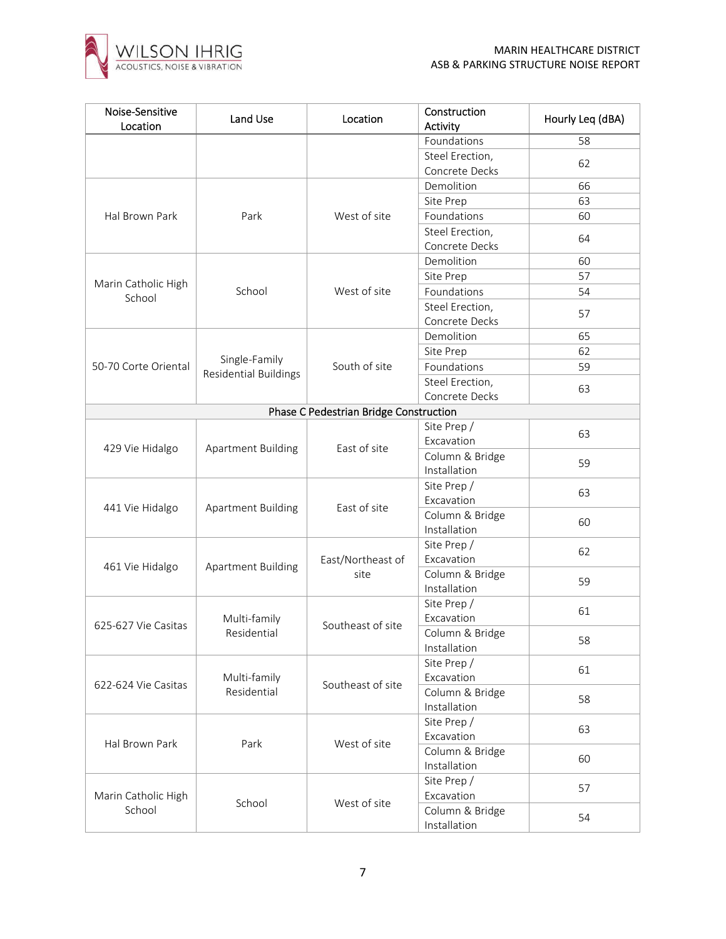

| Foundations<br>58<br>Steel Erection,<br>62<br>Concrete Decks<br>Demolition<br>66<br>63<br>Site Prep<br>West of site<br>Foundations<br>Hal Brown Park<br>Park<br>60<br>Steel Erection,<br>64<br>Concrete Decks<br>Demolition<br>60<br>57<br>Site Prep<br>Marin Catholic High<br>School<br>West of site<br>Foundations<br>54<br>School<br>Steel Erection,<br>57<br>Concrete Decks<br>Demolition<br>65<br>62<br>Site Prep<br>Single-Family<br>South of site<br>50-70 Corte Oriental<br>Foundations<br>59<br><b>Residential Buildings</b><br>Steel Erection,<br>63<br>Concrete Decks<br>Phase C Pedestrian Bridge Construction<br>Site Prep /<br>63<br>Excavation<br>Apartment Building<br>East of site<br>429 Vie Hidalgo<br>Column & Bridge<br>59<br>Installation<br>Site Prep /<br>63<br>Excavation<br>East of site<br>441 Vie Hidalgo<br>Apartment Building<br>Column & Bridge<br>60<br>Installation<br>Site Prep /<br>62<br>East/Northeast of<br>Excavation<br><b>Apartment Building</b><br>461 Vie Hidalgo<br>Column & Bridge<br>site<br>59<br>Installation<br>Site Prep /<br>61<br>Excavation<br>Multi-family<br>625-627 Vie Casitas<br>Southeast of site<br>Residential<br>Column & Bridge<br>58<br>Installation<br>Site Prep /<br>61<br>Excavation<br>Multi-family<br>Southeast of site<br>622-624 Vie Casitas<br>Residential<br>Column & Bridge<br>58<br>Installation<br>Site Prep /<br>63<br>Excavation<br>Park<br>West of site<br>Hal Brown Park<br>Column & Bridge<br>60<br>Installation<br>Site Prep /<br>57<br>Excavation<br>Marin Catholic High<br>School<br>West of site<br>School<br>Column & Bridge<br>54<br>Installation | Noise-Sensitive<br>Location | Land Use | Location | Construction<br>Activity | Hourly Leq (dBA) |
|------------------------------------------------------------------------------------------------------------------------------------------------------------------------------------------------------------------------------------------------------------------------------------------------------------------------------------------------------------------------------------------------------------------------------------------------------------------------------------------------------------------------------------------------------------------------------------------------------------------------------------------------------------------------------------------------------------------------------------------------------------------------------------------------------------------------------------------------------------------------------------------------------------------------------------------------------------------------------------------------------------------------------------------------------------------------------------------------------------------------------------------------------------------------------------------------------------------------------------------------------------------------------------------------------------------------------------------------------------------------------------------------------------------------------------------------------------------------------------------------------------------------------------------------------------------------------------------------------------------------------------------|-----------------------------|----------|----------|--------------------------|------------------|
|                                                                                                                                                                                                                                                                                                                                                                                                                                                                                                                                                                                                                                                                                                                                                                                                                                                                                                                                                                                                                                                                                                                                                                                                                                                                                                                                                                                                                                                                                                                                                                                                                                          |                             |          |          |                          |                  |
|                                                                                                                                                                                                                                                                                                                                                                                                                                                                                                                                                                                                                                                                                                                                                                                                                                                                                                                                                                                                                                                                                                                                                                                                                                                                                                                                                                                                                                                                                                                                                                                                                                          |                             |          |          |                          |                  |
|                                                                                                                                                                                                                                                                                                                                                                                                                                                                                                                                                                                                                                                                                                                                                                                                                                                                                                                                                                                                                                                                                                                                                                                                                                                                                                                                                                                                                                                                                                                                                                                                                                          |                             |          |          |                          |                  |
|                                                                                                                                                                                                                                                                                                                                                                                                                                                                                                                                                                                                                                                                                                                                                                                                                                                                                                                                                                                                                                                                                                                                                                                                                                                                                                                                                                                                                                                                                                                                                                                                                                          |                             |          |          |                          |                  |
|                                                                                                                                                                                                                                                                                                                                                                                                                                                                                                                                                                                                                                                                                                                                                                                                                                                                                                                                                                                                                                                                                                                                                                                                                                                                                                                                                                                                                                                                                                                                                                                                                                          |                             |          |          |                          |                  |
|                                                                                                                                                                                                                                                                                                                                                                                                                                                                                                                                                                                                                                                                                                                                                                                                                                                                                                                                                                                                                                                                                                                                                                                                                                                                                                                                                                                                                                                                                                                                                                                                                                          |                             |          |          |                          |                  |
|                                                                                                                                                                                                                                                                                                                                                                                                                                                                                                                                                                                                                                                                                                                                                                                                                                                                                                                                                                                                                                                                                                                                                                                                                                                                                                                                                                                                                                                                                                                                                                                                                                          |                             |          |          |                          |                  |
|                                                                                                                                                                                                                                                                                                                                                                                                                                                                                                                                                                                                                                                                                                                                                                                                                                                                                                                                                                                                                                                                                                                                                                                                                                                                                                                                                                                                                                                                                                                                                                                                                                          |                             |          |          |                          |                  |
|                                                                                                                                                                                                                                                                                                                                                                                                                                                                                                                                                                                                                                                                                                                                                                                                                                                                                                                                                                                                                                                                                                                                                                                                                                                                                                                                                                                                                                                                                                                                                                                                                                          |                             |          |          |                          |                  |
|                                                                                                                                                                                                                                                                                                                                                                                                                                                                                                                                                                                                                                                                                                                                                                                                                                                                                                                                                                                                                                                                                                                                                                                                                                                                                                                                                                                                                                                                                                                                                                                                                                          |                             |          |          |                          |                  |
|                                                                                                                                                                                                                                                                                                                                                                                                                                                                                                                                                                                                                                                                                                                                                                                                                                                                                                                                                                                                                                                                                                                                                                                                                                                                                                                                                                                                                                                                                                                                                                                                                                          |                             |          |          |                          |                  |
|                                                                                                                                                                                                                                                                                                                                                                                                                                                                                                                                                                                                                                                                                                                                                                                                                                                                                                                                                                                                                                                                                                                                                                                                                                                                                                                                                                                                                                                                                                                                                                                                                                          |                             |          |          |                          |                  |
|                                                                                                                                                                                                                                                                                                                                                                                                                                                                                                                                                                                                                                                                                                                                                                                                                                                                                                                                                                                                                                                                                                                                                                                                                                                                                                                                                                                                                                                                                                                                                                                                                                          |                             |          |          |                          |                  |
|                                                                                                                                                                                                                                                                                                                                                                                                                                                                                                                                                                                                                                                                                                                                                                                                                                                                                                                                                                                                                                                                                                                                                                                                                                                                                                                                                                                                                                                                                                                                                                                                                                          |                             |          |          |                          |                  |
|                                                                                                                                                                                                                                                                                                                                                                                                                                                                                                                                                                                                                                                                                                                                                                                                                                                                                                                                                                                                                                                                                                                                                                                                                                                                                                                                                                                                                                                                                                                                                                                                                                          |                             |          |          |                          |                  |
|                                                                                                                                                                                                                                                                                                                                                                                                                                                                                                                                                                                                                                                                                                                                                                                                                                                                                                                                                                                                                                                                                                                                                                                                                                                                                                                                                                                                                                                                                                                                                                                                                                          |                             |          |          |                          |                  |
|                                                                                                                                                                                                                                                                                                                                                                                                                                                                                                                                                                                                                                                                                                                                                                                                                                                                                                                                                                                                                                                                                                                                                                                                                                                                                                                                                                                                                                                                                                                                                                                                                                          |                             |          |          |                          |                  |
|                                                                                                                                                                                                                                                                                                                                                                                                                                                                                                                                                                                                                                                                                                                                                                                                                                                                                                                                                                                                                                                                                                                                                                                                                                                                                                                                                                                                                                                                                                                                                                                                                                          |                             |          |          |                          |                  |
|                                                                                                                                                                                                                                                                                                                                                                                                                                                                                                                                                                                                                                                                                                                                                                                                                                                                                                                                                                                                                                                                                                                                                                                                                                                                                                                                                                                                                                                                                                                                                                                                                                          |                             |          |          |                          |                  |
|                                                                                                                                                                                                                                                                                                                                                                                                                                                                                                                                                                                                                                                                                                                                                                                                                                                                                                                                                                                                                                                                                                                                                                                                                                                                                                                                                                                                                                                                                                                                                                                                                                          |                             |          |          |                          |                  |
|                                                                                                                                                                                                                                                                                                                                                                                                                                                                                                                                                                                                                                                                                                                                                                                                                                                                                                                                                                                                                                                                                                                                                                                                                                                                                                                                                                                                                                                                                                                                                                                                                                          |                             |          |          |                          |                  |
|                                                                                                                                                                                                                                                                                                                                                                                                                                                                                                                                                                                                                                                                                                                                                                                                                                                                                                                                                                                                                                                                                                                                                                                                                                                                                                                                                                                                                                                                                                                                                                                                                                          |                             |          |          |                          |                  |
|                                                                                                                                                                                                                                                                                                                                                                                                                                                                                                                                                                                                                                                                                                                                                                                                                                                                                                                                                                                                                                                                                                                                                                                                                                                                                                                                                                                                                                                                                                                                                                                                                                          |                             |          |          |                          |                  |
|                                                                                                                                                                                                                                                                                                                                                                                                                                                                                                                                                                                                                                                                                                                                                                                                                                                                                                                                                                                                                                                                                                                                                                                                                                                                                                                                                                                                                                                                                                                                                                                                                                          |                             |          |          |                          |                  |
|                                                                                                                                                                                                                                                                                                                                                                                                                                                                                                                                                                                                                                                                                                                                                                                                                                                                                                                                                                                                                                                                                                                                                                                                                                                                                                                                                                                                                                                                                                                                                                                                                                          |                             |          |          |                          |                  |
|                                                                                                                                                                                                                                                                                                                                                                                                                                                                                                                                                                                                                                                                                                                                                                                                                                                                                                                                                                                                                                                                                                                                                                                                                                                                                                                                                                                                                                                                                                                                                                                                                                          |                             |          |          |                          |                  |
|                                                                                                                                                                                                                                                                                                                                                                                                                                                                                                                                                                                                                                                                                                                                                                                                                                                                                                                                                                                                                                                                                                                                                                                                                                                                                                                                                                                                                                                                                                                                                                                                                                          |                             |          |          |                          |                  |
|                                                                                                                                                                                                                                                                                                                                                                                                                                                                                                                                                                                                                                                                                                                                                                                                                                                                                                                                                                                                                                                                                                                                                                                                                                                                                                                                                                                                                                                                                                                                                                                                                                          |                             |          |          |                          |                  |
|                                                                                                                                                                                                                                                                                                                                                                                                                                                                                                                                                                                                                                                                                                                                                                                                                                                                                                                                                                                                                                                                                                                                                                                                                                                                                                                                                                                                                                                                                                                                                                                                                                          |                             |          |          |                          |                  |
|                                                                                                                                                                                                                                                                                                                                                                                                                                                                                                                                                                                                                                                                                                                                                                                                                                                                                                                                                                                                                                                                                                                                                                                                                                                                                                                                                                                                                                                                                                                                                                                                                                          |                             |          |          |                          |                  |
|                                                                                                                                                                                                                                                                                                                                                                                                                                                                                                                                                                                                                                                                                                                                                                                                                                                                                                                                                                                                                                                                                                                                                                                                                                                                                                                                                                                                                                                                                                                                                                                                                                          |                             |          |          |                          |                  |
|                                                                                                                                                                                                                                                                                                                                                                                                                                                                                                                                                                                                                                                                                                                                                                                                                                                                                                                                                                                                                                                                                                                                                                                                                                                                                                                                                                                                                                                                                                                                                                                                                                          |                             |          |          |                          |                  |
|                                                                                                                                                                                                                                                                                                                                                                                                                                                                                                                                                                                                                                                                                                                                                                                                                                                                                                                                                                                                                                                                                                                                                                                                                                                                                                                                                                                                                                                                                                                                                                                                                                          |                             |          |          |                          |                  |
|                                                                                                                                                                                                                                                                                                                                                                                                                                                                                                                                                                                                                                                                                                                                                                                                                                                                                                                                                                                                                                                                                                                                                                                                                                                                                                                                                                                                                                                                                                                                                                                                                                          |                             |          |          |                          |                  |
|                                                                                                                                                                                                                                                                                                                                                                                                                                                                                                                                                                                                                                                                                                                                                                                                                                                                                                                                                                                                                                                                                                                                                                                                                                                                                                                                                                                                                                                                                                                                                                                                                                          |                             |          |          |                          |                  |
|                                                                                                                                                                                                                                                                                                                                                                                                                                                                                                                                                                                                                                                                                                                                                                                                                                                                                                                                                                                                                                                                                                                                                                                                                                                                                                                                                                                                                                                                                                                                                                                                                                          |                             |          |          |                          |                  |
|                                                                                                                                                                                                                                                                                                                                                                                                                                                                                                                                                                                                                                                                                                                                                                                                                                                                                                                                                                                                                                                                                                                                                                                                                                                                                                                                                                                                                                                                                                                                                                                                                                          |                             |          |          |                          |                  |
|                                                                                                                                                                                                                                                                                                                                                                                                                                                                                                                                                                                                                                                                                                                                                                                                                                                                                                                                                                                                                                                                                                                                                                                                                                                                                                                                                                                                                                                                                                                                                                                                                                          |                             |          |          |                          |                  |
|                                                                                                                                                                                                                                                                                                                                                                                                                                                                                                                                                                                                                                                                                                                                                                                                                                                                                                                                                                                                                                                                                                                                                                                                                                                                                                                                                                                                                                                                                                                                                                                                                                          |                             |          |          |                          |                  |
|                                                                                                                                                                                                                                                                                                                                                                                                                                                                                                                                                                                                                                                                                                                                                                                                                                                                                                                                                                                                                                                                                                                                                                                                                                                                                                                                                                                                                                                                                                                                                                                                                                          |                             |          |          |                          |                  |
|                                                                                                                                                                                                                                                                                                                                                                                                                                                                                                                                                                                                                                                                                                                                                                                                                                                                                                                                                                                                                                                                                                                                                                                                                                                                                                                                                                                                                                                                                                                                                                                                                                          |                             |          |          |                          |                  |
|                                                                                                                                                                                                                                                                                                                                                                                                                                                                                                                                                                                                                                                                                                                                                                                                                                                                                                                                                                                                                                                                                                                                                                                                                                                                                                                                                                                                                                                                                                                                                                                                                                          |                             |          |          |                          |                  |
|                                                                                                                                                                                                                                                                                                                                                                                                                                                                                                                                                                                                                                                                                                                                                                                                                                                                                                                                                                                                                                                                                                                                                                                                                                                                                                                                                                                                                                                                                                                                                                                                                                          |                             |          |          |                          |                  |
|                                                                                                                                                                                                                                                                                                                                                                                                                                                                                                                                                                                                                                                                                                                                                                                                                                                                                                                                                                                                                                                                                                                                                                                                                                                                                                                                                                                                                                                                                                                                                                                                                                          |                             |          |          |                          |                  |
|                                                                                                                                                                                                                                                                                                                                                                                                                                                                                                                                                                                                                                                                                                                                                                                                                                                                                                                                                                                                                                                                                                                                                                                                                                                                                                                                                                                                                                                                                                                                                                                                                                          |                             |          |          |                          |                  |
|                                                                                                                                                                                                                                                                                                                                                                                                                                                                                                                                                                                                                                                                                                                                                                                                                                                                                                                                                                                                                                                                                                                                                                                                                                                                                                                                                                                                                                                                                                                                                                                                                                          |                             |          |          |                          |                  |
|                                                                                                                                                                                                                                                                                                                                                                                                                                                                                                                                                                                                                                                                                                                                                                                                                                                                                                                                                                                                                                                                                                                                                                                                                                                                                                                                                                                                                                                                                                                                                                                                                                          |                             |          |          |                          |                  |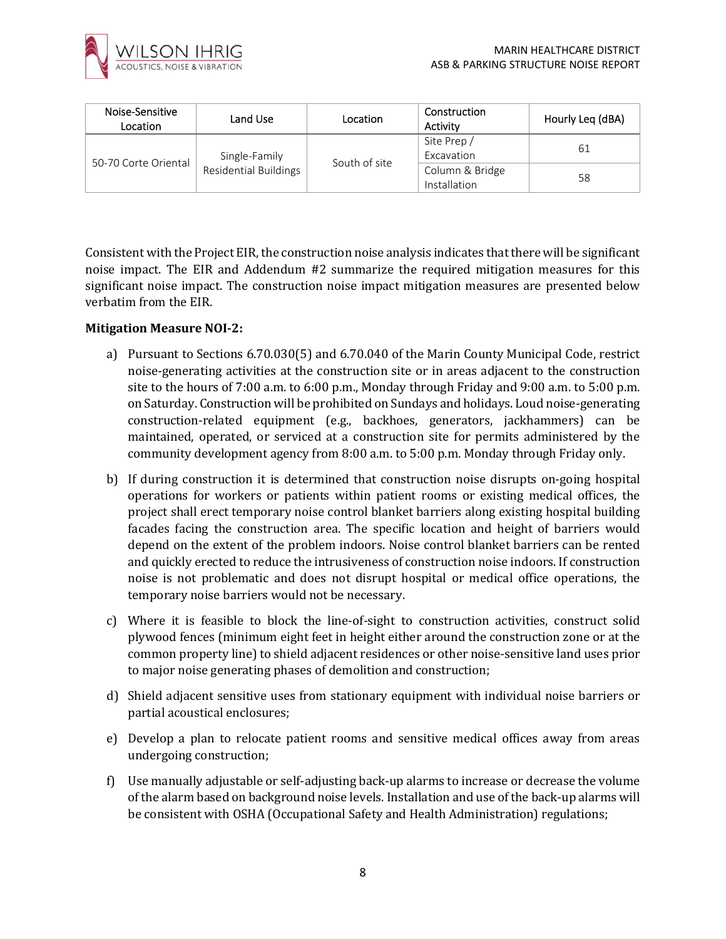

| Noise-Sensitive<br>Location | Land Use              | Location      | Construction<br>Activity        | Hourly Leq (dBA) |
|-----------------------------|-----------------------|---------------|---------------------------------|------------------|
|                             | Single-Family         |               | Site Prep /<br>Excavation       | 61               |
| 50-70 Corte Oriental        | Residential Buildings | South of site | Column & Bridge<br>Installation | 58               |

Consistent with the Project EIR, the construction noise analysis indicates that there will be significant noise impact. The EIR and Addendum #2 summarize the required mitigation measures for this significant noise impact. The construction noise impact mitigation measures are presented below verbatim from the EIR.

#### **Mitigation Measure NOI-2:**

- a) Pursuant to Sections 6.70.030(5) and 6.70.040 of the Marin County Municipal Code, restrict noise-generating activities at the construction site or in areas adjacent to the construction site to the hours of 7:00 a.m. to 6:00 p.m., Monday through Friday and 9:00 a.m. to 5:00 p.m. on Saturday. Construction will be prohibited on Sundays and holidays. Loud noise-generating construction-related equipment (e.g., backhoes, generators, jackhammers) can be maintained, operated, or serviced at a construction site for permits administered by the community development agency from 8:00 a.m. to 5:00 p.m. Monday through Friday only.
- b) If during construction it is determined that construction noise disrupts on-going hospital operations for workers or patients within patient rooms or existing medical offices, the project shall erect temporary noise control blanket barriers along existing hospital building facades facing the construction area. The specific location and height of barriers would depend on the extent of the problem indoors. Noise control blanket barriers can be rented and quickly erected to reduce the intrusiveness of construction noise indoors. If construction noise is not problematic and does not disrupt hospital or medical office operations, the temporary noise barriers would not be necessary.
- c) Where it is feasible to block the line-of-sight to construction activities, construct solid plywood fences (minimum eight feet in height either around the construction zone or at the common property line) to shield adjacent residences or other noise-sensitive land uses prior to major noise generating phases of demolition and construction;
- d) Shield adjacent sensitive uses from stationary equipment with individual noise barriers or partial acoustical enclosures;
- e) Develop a plan to relocate patient rooms and sensitive medical offices away from areas undergoing construction;
- f) Use manually adjustable or self-adjusting back-up alarms to increase or decrease the volume of the alarm based on background noise levels. Installation and use of the back-up alarms will be consistent with OSHA (Occupational Safety and Health Administration) regulations;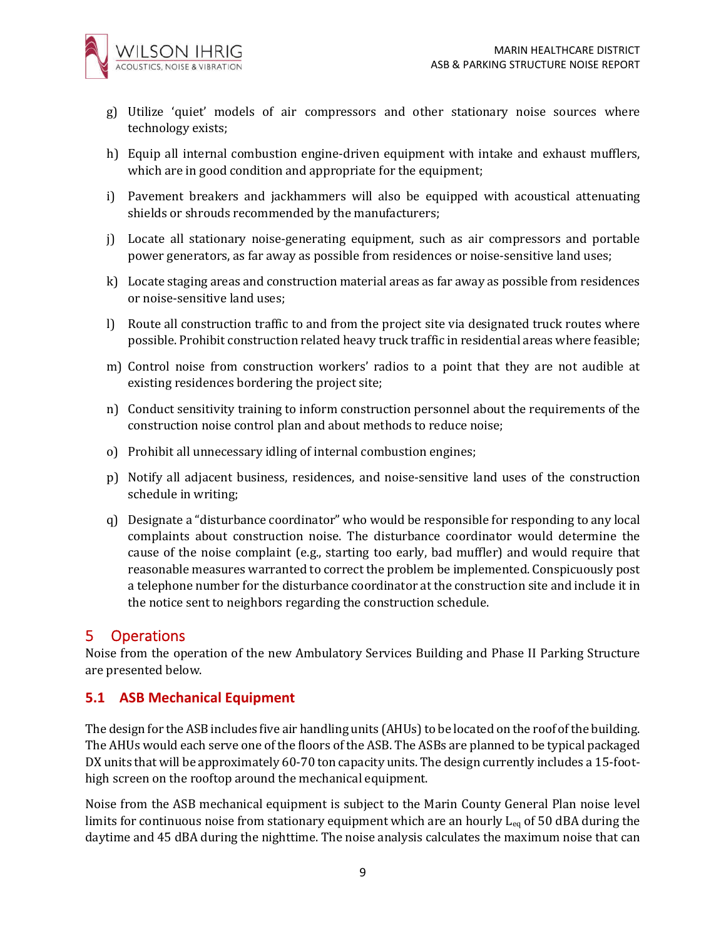

- g) Utilize 'quiet' models of air compressors and other stationary noise sources where technology exists;
- h) Equip all internal combustion engine-driven equipment with intake and exhaust mufflers, which are in good condition and appropriate for the equipment;
- i) Pavement breakers and jackhammers will also be equipped with acoustical attenuating shields or shrouds recommended by the manufacturers;
- j) Locate all stationary noise-generating equipment, such as air compressors and portable power generators, as far away as possible from residences or noise-sensitive land uses;
- k) Locate staging areas and construction material areas as far away as possible from residences or noise-sensitive land uses;
- l) Route all construction traffic to and from the project site via designated truck routes where possible. Prohibit construction related heavy truck traffic in residential areas where feasible;
- m) Control noise from construction workers' radios to a point that they are not audible at existing residences bordering the project site;
- n) Conduct sensitivity training to inform construction personnel about the requirements of the construction noise control plan and about methods to reduce noise;
- o) Prohibit all unnecessary idling of internal combustion engines;
- p) Notify all adjacent business, residences, and noise-sensitive land uses of the construction schedule in writing;
- q) Designate a "disturbance coordinator" who would be responsible for responding to any local complaints about construction noise. The disturbance coordinator would determine the cause of the noise complaint (e.g., starting too early, bad muffler) and would require that reasonable measures warranted to correct the problem be implemented. Conspicuously post a telephone number for the disturbance coordinator at the construction site and include it in the notice sent to neighbors regarding the construction schedule.

## 5 Operations

Noise from the operation of the new Ambulatory Services Building and Phase II Parking Structure are presented below.

### **5.1 ASB Mechanical Equipment**

The design for the ASB includes five air handling units (AHUs) to be located on the roof of the building. The AHUs would each serve one of the floors of the ASB. The ASBs are planned to be typical packaged DX units that will be approximately 60-70 ton capacity units. The design currently includes a 15-foothigh screen on the rooftop around the mechanical equipment.

Noise from the ASB mechanical equipment is subject to the Marin County General Plan noise level limits for continuous noise from stationary equipment which are an hourly  $L_{eq}$  of 50 dBA during the daytime and 45 dBA during the nighttime. The noise analysis calculates the maximum noise that can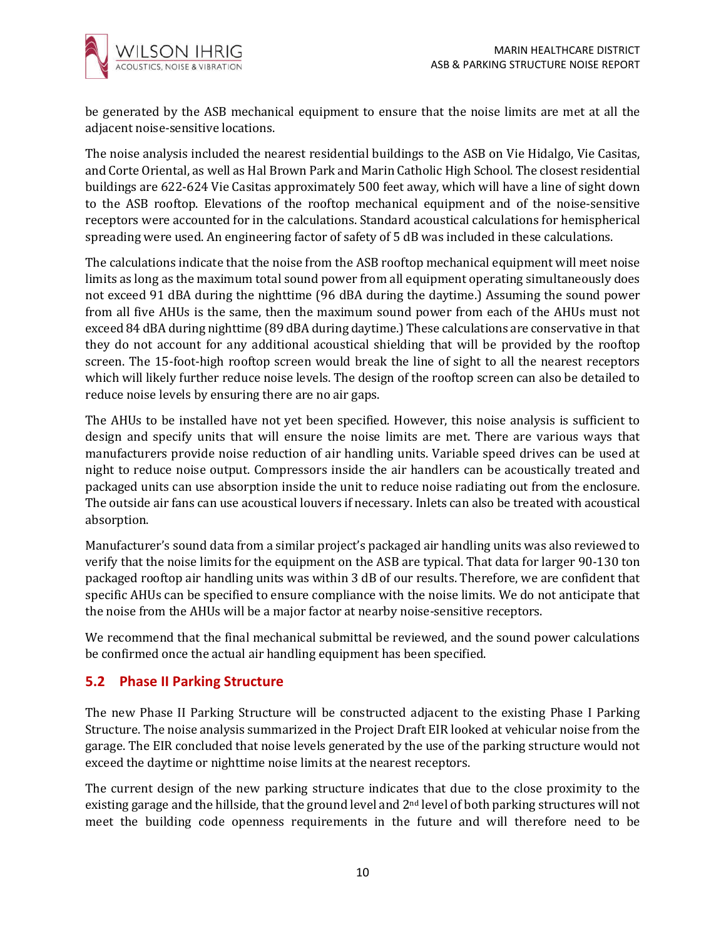

be generated by the ASB mechanical equipment to ensure that the noise limits are met at all the adjacent noise-sensitive locations.

The noise analysis included the nearest residential buildings to the ASB on Vie Hidalgo, Vie Casitas, and Corte Oriental, as well as Hal Brown Park and Marin Catholic High School. The closest residential buildings are 622-624 Vie Casitas approximately 500 feet away, which will have a line of sight down to the ASB rooftop. Elevations of the rooftop mechanical equipment and of the noise-sensitive receptors were accounted for in the calculations. Standard acoustical calculations for hemispherical spreading were used. An engineering factor of safety of 5 dB was included in these calculations.

The calculations indicate that the noise from the ASB rooftop mechanical equipment will meet noise limits as long as the maximum total sound power from all equipment operating simultaneously does not exceed 91 dBA during the nighttime (96 dBA during the daytime.) Assuming the sound power from all five AHUs is the same, then the maximum sound power from each of the AHUs must not exceed 84 dBA during nighttime (89 dBA during daytime.) These calculations are conservative in that they do not account for any additional acoustical shielding that will be provided by the rooftop screen. The 15-foot-high rooftop screen would break the line of sight to all the nearest receptors which will likely further reduce noise levels. The design of the rooftop screen can also be detailed to reduce noise levels by ensuring there are no air gaps.

The AHUs to be installed have not yet been specified. However, this noise analysis is sufficient to design and specify units that will ensure the noise limits are met. There are various ways that manufacturers provide noise reduction of air handling units. Variable speed drives can be used at night to reduce noise output. Compressors inside the air handlers can be acoustically treated and packaged units can use absorption inside the unit to reduce noise radiating out from the enclosure. The outside air fans can use acoustical louvers if necessary. Inlets can also be treated with acoustical absorption.

Manufacturer's sound data from a similar project's packaged air handling units was also reviewed to verify that the noise limits for the equipment on the ASB are typical. That data for larger 90-130 ton packaged rooftop air handling units was within 3 dB of our results. Therefore, we are confident that specific AHUs can be specified to ensure compliance with the noise limits. We do not anticipate that the noise from the AHUs will be a major factor at nearby noise-sensitive receptors.

We recommend that the final mechanical submittal be reviewed, and the sound power calculations be confirmed once the actual air handling equipment has been specified.

### **5.2 Phase II Parking Structure**

The new Phase II Parking Structure will be constructed adjacent to the existing Phase I Parking Structure. The noise analysis summarized in the Project Draft EIR looked at vehicular noise from the garage. The EIR concluded that noise levels generated by the use of the parking structure would not exceed the daytime or nighttime noise limits at the nearest receptors.

The current design of the new parking structure indicates that due to the close proximity to the existing garage and the hillside, that the ground level and 2nd level of both parking structures will not meet the building code openness requirements in the future and will therefore need to be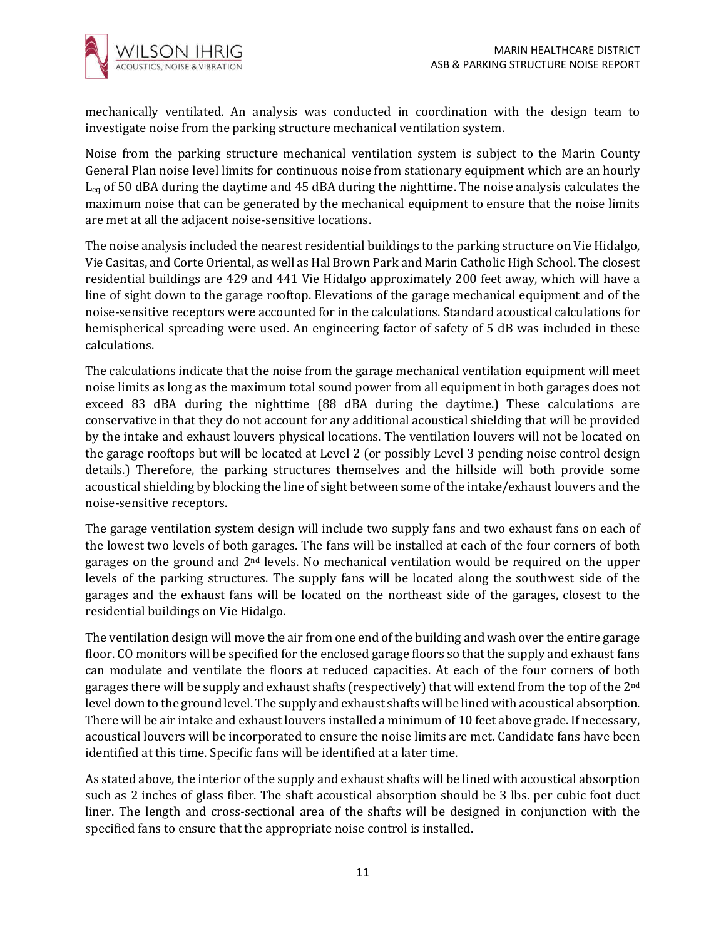

mechanically ventilated. An analysis was conducted in coordination with the design team to investigate noise from the parking structure mechanical ventilation system.

Noise from the parking structure mechanical ventilation system is subject to the Marin County General Plan noise level limits for continuous noise from stationary equipment which are an hourly  $L_{eq}$  of 50 dBA during the daytime and 45 dBA during the nighttime. The noise analysis calculates the maximum noise that can be generated by the mechanical equipment to ensure that the noise limits are met at all the adjacent noise-sensitive locations.

The noise analysis included the nearest residential buildings to the parking structure on Vie Hidalgo, Vie Casitas, and Corte Oriental, as well as Hal Brown Park and Marin Catholic High School. The closest residential buildings are 429 and 441 Vie Hidalgo approximately 200 feet away, which will have a line of sight down to the garage rooftop. Elevations of the garage mechanical equipment and of the noise-sensitive receptors were accounted for in the calculations. Standard acoustical calculations for hemispherical spreading were used. An engineering factor of safety of 5 dB was included in these calculations.

The calculations indicate that the noise from the garage mechanical ventilation equipment will meet noise limits as long as the maximum total sound power from all equipment in both garages does not exceed 83 dBA during the nighttime (88 dBA during the daytime.) These calculations are conservative in that they do not account for any additional acoustical shielding that will be provided by the intake and exhaust louvers physical locations. The ventilation louvers will not be located on the garage rooftops but will be located at Level 2 (or possibly Level 3 pending noise control design details.) Therefore, the parking structures themselves and the hillside will both provide some acoustical shielding by blocking the line of sight between some of the intake/exhaust louvers and the noise-sensitive receptors.

The garage ventilation system design will include two supply fans and two exhaust fans on each of the lowest two levels of both garages. The fans will be installed at each of the four corners of both garages on the ground and  $2<sup>nd</sup>$  levels. No mechanical ventilation would be required on the upper levels of the parking structures. The supply fans will be located along the southwest side of the garages and the exhaust fans will be located on the northeast side of the garages, closest to the residential buildings on Vie Hidalgo.

The ventilation design will move the air from one end of the building and wash over the entire garage floor. CO monitors will be specified for the enclosed garage floors so that the supply and exhaust fans can modulate and ventilate the floors at reduced capacities. At each of the four corners of both garages there will be supply and exhaust shafts (respectively) that will extend from the top of the 2nd level down to the ground level. The supply and exhaust shafts will be lined with acoustical absorption. There will be air intake and exhaust louvers installed a minimum of 10 feet above grade. If necessary, acoustical louvers will be incorporated to ensure the noise limits are met. Candidate fans have been identified at this time. Specific fans will be identified at a later time.

As stated above, the interior of the supply and exhaust shafts will be lined with acoustical absorption such as 2 inches of glass fiber. The shaft acoustical absorption should be 3 lbs. per cubic foot duct liner. The length and cross-sectional area of the shafts will be designed in conjunction with the specified fans to ensure that the appropriate noise control is installed.